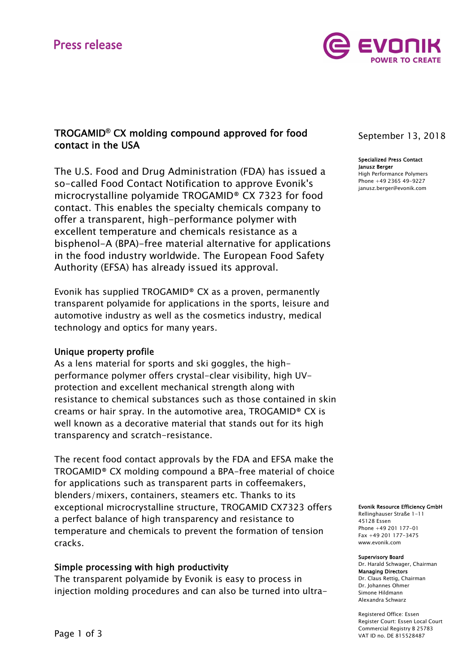

# TROGAMID**®** CX molding compound approved for food contact in the USA

The U.S. Food and Drug Administration (FDA) has issued a so-called Food Contact Notification to approve Evonik's microcrystalline polyamide TROGAMID® CX 7323 for food contact. This enables the specialty chemicals company to offer a transparent, high-performance polymer with excellent temperature and chemicals resistance as a bisphenol-A (BPA)-free material alternative for applications in the food industry worldwide. The European Food Safety Authority (EFSA) has already issued its approval.

Evonik has supplied TROGAMID® CX as a proven, permanently transparent polyamide for applications in the sports, leisure and automotive industry as well as the cosmetics industry, medical technology and optics for many years.

## Unique property profile

As a lens material for sports and ski goggles, the highperformance polymer offers crystal-clear visibility, high UVprotection and excellent mechanical strength along with resistance to chemical substances such as those contained in skin creams or hair spray. In the automotive area, TROGAMID® CX is well known as a decorative material that stands out for its high transparency and scratch-resistance.

The recent food contact approvals by the FDA and EFSA make the TROGAMID® CX molding compound a BPA-free material of choice for applications such as transparent parts in coffeemakers, blenders/mixers, containers, steamers etc. Thanks to its exceptional microcrystalline structure, TROGAMID CX7323 offers a perfect balance of high transparency and resistance to temperature and chemicals to prevent the formation of tension cracks.

# Simple processing with high productivity

The transparent polyamide by Evonik is easy to process in injection molding procedures and can also be turned into ultra-

# September 13, 2018

#### Specialized Press Contact Janusz Berger

High Performance Polymers Phone +49 2365 49-9227 janusz.berger@evonik.com

### Evonik Resource Efficiency GmbH

Rellinghauser Straße 1-11 45128 Essen Phone +49 201 177-01 Fax +49 201 177-3475 www.evonik.com

#### Supervisory Board

Dr. Harald Schwager, Chairman Managing Directors Dr. Claus Rettig, Chairman Dr. Johannes Ohmer Simone Hildmann Alexandra Schwarz

Registered Office: Essen Register Court: Essen Local Court Commercial Registry B 25783 VAT ID no. DE 815528487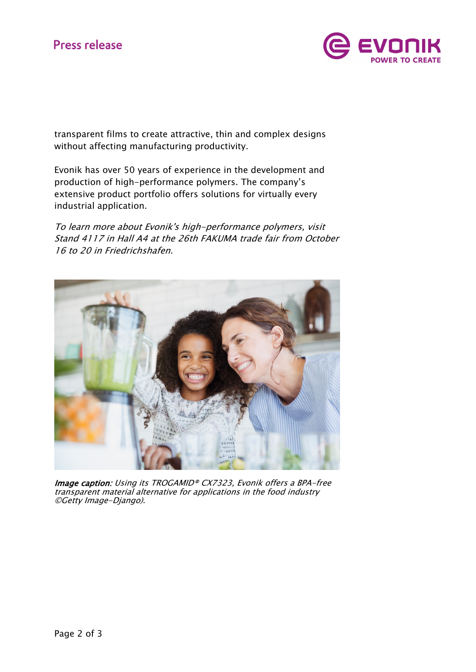

transparent films to create attractive, thin and complex designs without affecting manufacturing productivity.

Evonik has over 50 years of experience in the development and production of high-performance polymers. The company's extensive product portfolio offers solutions for virtually every industrial application.

To learn more about Evonik's high-performance polymers, visit Stand 4117 in Hall A4 at the 26th FAKUMA trade fair from October 16 to 20 in Friedrichshafen.



Image caption: Using its TROGAMID® CX7323, Evonik offers a BPA-free transparent material alternative for applications in the food industry ©Getty Image-Django).